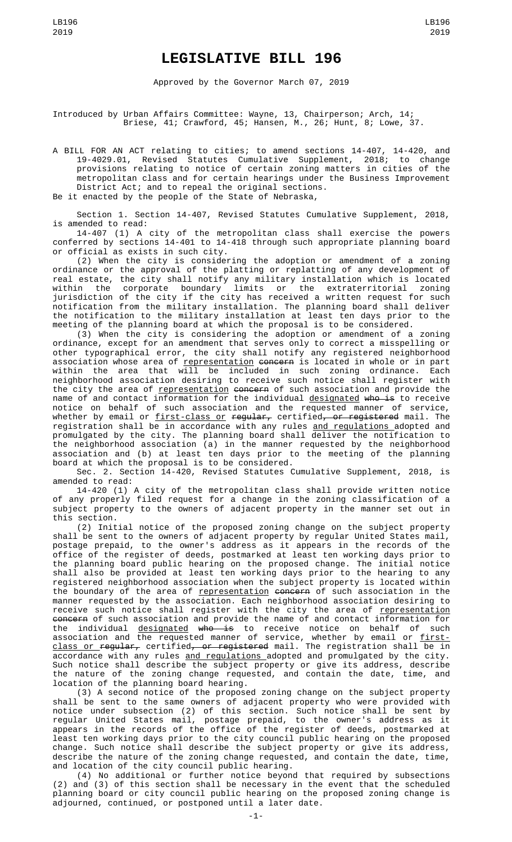## **LEGISLATIVE BILL 196**

Approved by the Governor March 07, 2019

Introduced by Urban Affairs Committee: Wayne, 13, Chairperson; Arch, 14; Briese, 41; Crawford, 45; Hansen, M., 26; Hunt, 8; Lowe, 37.

A BILL FOR AN ACT relating to cities; to amend sections 14-407, 14-420, and 19-4029.01, Revised Statutes Cumulative Supplement, 2018; to change provisions relating to notice of certain zoning matters in cities of the metropolitan class and for certain hearings under the Business Improvement District Act; and to repeal the original sections. Be it enacted by the people of the State of Nebraska,

Section 1. Section 14-407, Revised Statutes Cumulative Supplement, 2018, is amended to read:

14-407 (1) A city of the metropolitan class shall exercise the powers conferred by sections 14-401 to 14-418 through such appropriate planning board or official as exists in such city.

(2) When the city is considering the adoption or amendment of a zoning ordinance or the approval of the platting or replatting of any development of real estate, the city shall notify any military installation which is located within the corporate boundary limits or the extraterritorial zoning jurisdiction of the city if the city has received a written request for such notification from the military installation. The planning board shall deliver the notification to the military installation at least ten days prior to the meeting of the planning board at which the proposal is to be considered.

(3) When the city is considering the adoption or amendment of a zoning ordinance, except for an amendment that serves only to correct a misspelling or other typographical error, the city shall notify any registered neighborhood association whose area of representation concern is located in whole or in part within the area that will be included in such zoning ordinance. Each neighborhood association desiring to receive such notice shall register with the city the area of <u>representation</u> <del>concern</del> of such association and provide the name of and contact information for the individual <u>designated</u> <del>who is</del> to receive notice on behalf of such association and the requested manner of service, whether by email or first-class or regular, certified, or registered mail. The registration shall be in accordance with any rules <u>and regulations </u>adopted and promulgated by the city. The planning board shall deliver the notification to the neighborhood association (a) in the manner requested by the neighborhood association and (b) at least ten days prior to the meeting of the planning board at which the proposal is to be considered.

Sec. 2. Section 14-420, Revised Statutes Cumulative Supplement, 2018, is amended to read:

14-420 (1) A city of the metropolitan class shall provide written notice of any properly filed request for a change in the zoning classification of a subject property to the owners of adjacent property in the manner set out in this section.

(2) Initial notice of the proposed zoning change on the subject property shall be sent to the owners of adjacent property by regular United States mail, postage prepaid, to the owner's address as it appears in the records of the office of the register of deeds, postmarked at least ten working days prior to the planning board public hearing on the proposed change. The initial notice shall also be provided at least ten working days prior to the hearing to any registered neighborhood association when the subject property is located within the boundary of the area of representation concern of such association in the manner requested by the association. Each neighborhood association desiring to receive such notice shall register with the city the area of <u>representation</u> concern of such association and provide the name of and contact information for the individual <u>designated</u> <del>who is</del> to receive notice on behalf of such association and the requested manner of service, whether by email or <u>first-</u> <u>class or </u>re<del>gular,</del> certified<del>, or registered</del> mail. The registration shall be in accordance with any rules <u>and regulations </u>adopted and promulgated by the city. Such notice shall describe the subject property or give its address, describe the nature of the zoning change requested, and contain the date, time, and location of the planning board hearing.

(3) A second notice of the proposed zoning change on the subject property shall be sent to the same owners of adjacent property who were provided with notice under subsection (2) of this section. Such notice shall be sent by regular United States mail, postage prepaid, to the owner's address as it appears in the records of the office of the register of deeds, postmarked at least ten working days prior to the city council public hearing on the proposed change. Such notice shall describe the subject property or give its address, describe the nature of the zoning change requested, and contain the date, time, and location of the city council public hearing.

(4) No additional or further notice beyond that required by subsections (2) and (3) of this section shall be necessary in the event that the scheduled planning board or city council public hearing on the proposed zoning change is adjourned, continued, or postponed until a later date.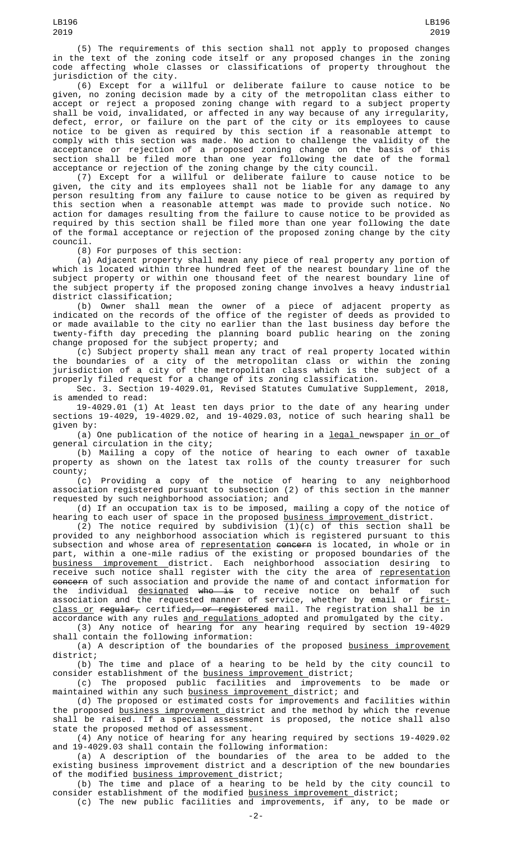(5) The requirements of this section shall not apply to proposed changes in the text of the zoning code itself or any proposed changes in the zoning code affecting whole classes or classifications of property throughout the jurisdiction of the city.

(6) Except for a willful or deliberate failure to cause notice to be given, no zoning decision made by a city of the metropolitan class either to accept or reject a proposed zoning change with regard to a subject property shall be void, invalidated, or affected in any way because of any irregularity, defect, error, or failure on the part of the city or its employees to cause notice to be given as required by this section if a reasonable attempt to comply with this section was made. No action to challenge the validity of the acceptance or rejection of a proposed zoning change on the basis of this section shall be filed more than one year following the date of the formal acceptance or rejection of the zoning change by the city council.

(7) Except for a willful or deliberate failure to cause notice to be given, the city and its employees shall not be liable for any damage to any person resulting from any failure to cause notice to be given as required by this section when a reasonable attempt was made to provide such notice. No action for damages resulting from the failure to cause notice to be provided as required by this section shall be filed more than one year following the date of the formal acceptance or rejection of the proposed zoning change by the city council.

(8) For purposes of this section:

(a) Adjacent property shall mean any piece of real property any portion of which is located within three hundred feet of the nearest boundary line of the subject property or within one thousand feet of the nearest boundary line of the subject property if the proposed zoning change involves a heavy industrial district classification;

(b) Owner shall mean the owner of a piece of adjacent property as indicated on the records of the office of the register of deeds as provided to or made available to the city no earlier than the last business day before the twenty-fifth day preceding the planning board public hearing on the zoning change proposed for the subject property; and

(c) Subject property shall mean any tract of real property located within the boundaries of a city of the metropolitan class or within the zoning jurisdiction of a city of the metropolitan class which is the subject of a properly filed request for a change of its zoning classification.

Sec. 3. Section 19-4029.01, Revised Statutes Cumulative Supplement, 2018, is amended to read:

19-4029.01 (1) At least ten days prior to the date of any hearing under sections 19-4029, 19-4029.02, and 19-4029.03, notice of such hearing shall be given by:

(a) One publication of the notice of hearing in a  $legal$  newspaper  $in$  or of</u></u> general circulation in the city;

(b) Mailing a copy of the notice of hearing to each owner of taxable property as shown on the latest tax rolls of the county treasurer for such county;<br>(c)

Providing a copy of the notice of hearing to any neighborhood association registered pursuant to subsection (2) of this section in the manner requested by such neighborhood association; and

(d) If an occupation tax is to be imposed, mailing a copy of the notice of hearing to each user of space in the proposed <u>business improvement </u>district.

(2) The notice required by subdivision (1)(c) of this section shall be provided to any neighborhood association which is registered pursuant to this subsection and whose area of <u>representation</u> <del>concern</del> is located, in whole or in part, within a one-mile radius of the existing or proposed boundaries of the business improvement district. Each neighborhood association desiring to receive such notice shall register with the city the area of <u>representation</u> <del>concern</del> of such association and provide the name of and contact information for the individual <u>designated</u> <del>who is</del> to receive notice on behalf of such association and the requested manner of service, whether by email or <u>first-</u> <u>class or</u> <del>regular,</del> certified<del>, or registered</del> mail. The registration shall be in accordance with any rules <u>and regulations </u>adopted and promulgated by the city.

(3) Any notice of hearing for any hearing required by section 19-4029 shall contain the following information:

(a) A description of the boundaries of the proposed <u>business improvement</u> district;

(b) The time and place of a hearing to be held by the city council to consider establishment of the business improvement district;

(c) The proposed public facilities and improvements to be made or maintained within any such business improvement district; and

(d) The proposed or estimated costs for improvements and facilities within the proposed business improvement district and the method by which the revenue shall be raised. If a special assessment is proposed, the notice shall also state the proposed method of assessment.

(4) Any notice of hearing for any hearing required by sections 19-4029.02 and 19-4029.03 shall contain the following information:

(a) A description of the boundaries of the area to be added to the existing business improvement district and a description of the new boundaries of the modified business improvement district;

(b) The time and place of a hearing to be held by the city council to consider establishment of the modified <u>business improvement d</u>istrict; (c) The new public facilities and improvements, if any, to be made or

-2-